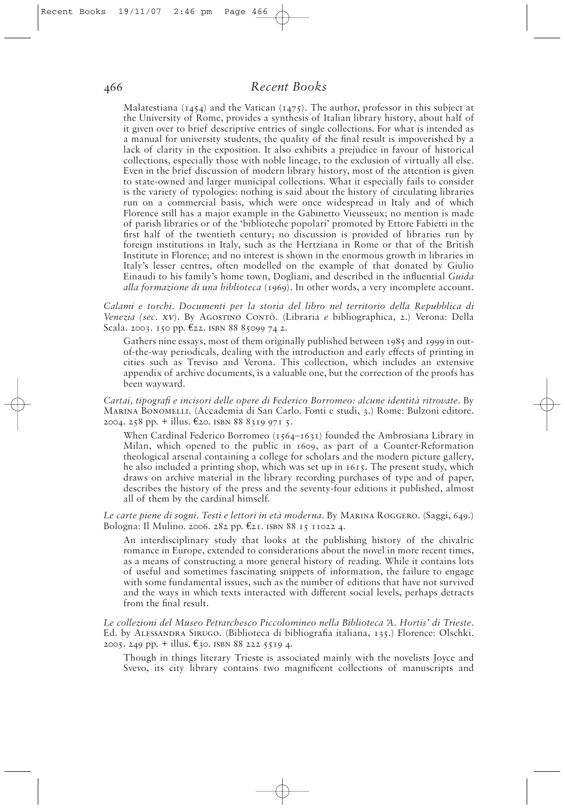## *Recent Books*

Malatestiana ( $1454$ ) and the Vatican ( $1475$ ). The author, professor in this subject at the University of Rome, provides a synthesis of Italian library history, about half of it given over to brief descriptive entries of single collections. For what is intended as a manual for university students, the quality of the final result is impoverished by a lack of clarity in the exposition. It also exhibits a prejudice in favour of historical collections, especially those with noble lineage, to the exclusion of virtually all else. Even in the brief discussion of modern library history, most of the attention is given to state-owned and larger municipal collections. What it especially fails to consider is the variety of typologies: nothing is said about the history of circulating libraries run on a commercial basis, which were once widespread in Italy and of which Florence still has a major example in the Gabinetto Vieusseux; no mention is made of parish libraries or of the 'biblioteche popolari' promoted by Ettore Fabietti in the first half of the twentieth century; no discussion is provided of libraries run by foreign institutions in Italy, such as the Hertziana in Rome or that of the British Institute in Florence; and no interest is shown in the enormous growth in libraries in Italy's lesser centres, often modelled on the example of that donated by Giulio Einaudi to his family's home town, Dogliani, and described in the influential *Guida alla formazione di una biblioteca* (1969). In other words, a very incomplete account.

*Calami e torchi. Documenti per la storia del libro nel territorio della Repubblica di Venezia (sec. XV*). By Agostino Contò. (Libraria *e* bibliographica, 2.) Verona: Della Scala. 2003. 150 pp. €22. isbn 88 85099 74 2.

Gathers nine essays, most of them originally published between 1985 and 1999 in outof-the-way periodicals, dealing with the introduction and early effects of printing in cities such as Treviso and Verona. This collection, which includes an extensive appendix of archive documents, is a valuable one, but the correction of the proofs has been wayward.

*Cartai, tipografi e incisori delle opere di Federico Borromeo: alcune identità ritrovate*. By Marina Bonomelli. (Accademia di San Carlo. Fonti e studi, 3.) Rome: Bulzoni editore. 2004. 258 pp. + illus.  $\epsilon$ 20. ISBN 8883199715.

When Cardinal Federico Borromeo  $(1564 - 1631)$  founded the Ambrosiana Library in Milan, which opened to the public in 1609, as part of a Counter-Reformation theological arsenal containing a college for scholars and the modern picture gallery, he also included a printing shop, which was set up in 1615. The present study, which draws on archive material in the library recording purchases of type and of paper, describes the history of the press and the seventy-four editions it published, almost all of them by the cardinal himself.

Le carte piene di sogni. Testi e lettori in età moderna. By MARINA ROGGERO. (Saggi, 649.) Bologna: Il Mulino. 2006. 282 pp. €21. isbn 88 15 11022 4.

An interdisciplinary study that looks at the publishing history of the chivalric romance in Europe, extended to considerations about the novel in more recent times, as a means of constructing a more general history of reading. While it contains lots of useful and sometimes fascinating snippets of information, the failure to engage with some fundamental issues, such as the number of editions that have not survived and the ways in which texts interacted with different social levels, perhaps detracts from the final result.

*Le collezioni del Museo Petrarchesco Piccolomineo nella Biblioteca 'A. Hortis' di Trieste*. Ed. by Alessandra Sirugo. (Biblioteca di bibliografia italiana, 135.) Florence: Olschki. 2005. 249 pp. + illus.  $\epsilon_{30}$ . ISBN 88 222 5519 4.

Though in things literary Trieste is associated mainly with the novelists Joyce and Svevo, its city library contains two magnificent collections of manuscripts and